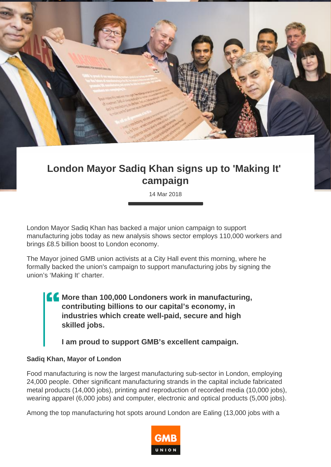

## **London Mayor Sadiq Khan signs up to 'Making It' campaign**

14 Mar 2018

London Mayor Sadiq Khan has backed a major union campaign to support manufacturing jobs today as new analysis shows sector employs 110,000 workers and brings £8.5 billion boost to London economy.

The Mayor joined GMB union activists at a City Hall event this morning, where he formally backed the union's campaign to support manufacturing jobs by signing the union's 'Making It' charter.

**More than 100,000 Londoners work in manufacturing, contributing billions to our capital's economy, in industries which create well-paid, secure and high skilled jobs.**

**I am proud to support GMB's excellent campaign.**

## **Sadiq Khan, Mayor of London**

Food manufacturing is now the largest manufacturing sub-sector in London, employing 24,000 people. Other significant manufacturing strands in the capital include fabricated metal products (14,000 jobs), printing and reproduction of recorded media (10,000 jobs), wearing apparel (6,000 jobs) and computer, electronic and optical products (5,000 jobs).

Among the top manufacturing hot spots around London are Ealing (13,000 jobs with a

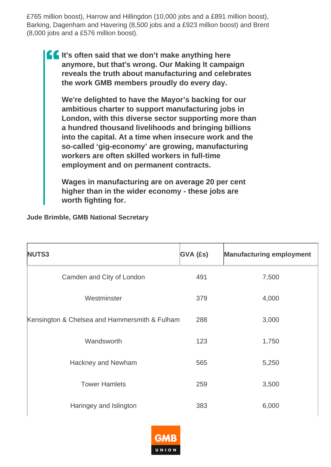£765 million boost), Harrow and Hillingdon (10,000 jobs and a £891 million boost), Barking, Dagenham and Havering (8,500 jobs and a £923 million boost) and Brent (8,000 jobs and a £576 million boost).

**If It's often said that we don't make anything here anymore, but that's wrong. Our Making It campaign reveals the truth about manufacturing and celebrates the work GMB members proudly do every day.**

**We're delighted to have the Mayor's backing for our ambitious charter to support manufacturing jobs in London, with this diverse sector supporting more than a hundred thousand livelihoods and bringing billions into the capital. At a time when insecure work and the so-called 'gig-economy' are growing, manufacturing workers are often skilled workers in full-time employment and on permanent contracts.**

**Wages in manufacturing are on average 20 per cent higher than in the wider economy - these jobs are worth fighting for.**

## **Jude Brimble, GMB National Secretary**

| NUTS3                                         | $GVA$ (£s) | <b>Manufacturing employment</b> |
|-----------------------------------------------|------------|---------------------------------|
| Camden and City of London                     | 491        | 7,500                           |
| Westminster                                   | 379        | 4,000                           |
| Kensington & Chelsea and Hammersmith & Fulham | 288        | 3,000                           |
| Wandsworth                                    | 123        | 1,750                           |
| Hackney and Newham                            | 565        | 5,250                           |
| <b>Tower Hamlets</b>                          | 259        | 3,500                           |
| Haringey and Islington                        | 383        | 6,000                           |

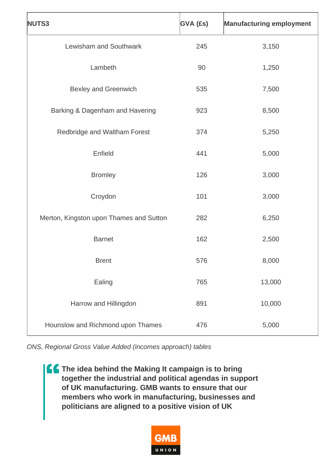| NUTS3                                   | <b>GVA (£s)</b> | <b>Manufacturing employment</b> |
|-----------------------------------------|-----------------|---------------------------------|
| Lewisham and Southwark                  | 245             | 3,150                           |
| Lambeth                                 | 90              | 1,250                           |
| <b>Bexley and Greenwich</b>             | 535             | 7,500                           |
| Barking & Dagenham and Havering         | 923             | 8,500                           |
| Redbridge and Waltham Forest            | 374             | 5,250                           |
| Enfield                                 | 441             | 5,000                           |
| <b>Bromley</b>                          | 126             | 3,000                           |
| Croydon                                 | 101             | 3,000                           |
| Merton, Kingston upon Thames and Sutton | 282             | 6,250                           |
| <b>Barnet</b>                           | 162             | 2,500                           |
| <b>Brent</b>                            | 576             | 8,000                           |
| Ealing                                  | 765             | 13,000                          |
| Harrow and Hillingdon                   | 891             | 10,000                          |
| Hounslow and Richmond upon Thames       | 476             | 5,000                           |

ONS, Regional Gross Value Added (incomes approach) tables

**The idea behind the Making It campaign is to bring together the industrial and political agendas in support of UK manufacturing. GMB wants to ensure that our members who work in manufacturing, businesses and politicians are aligned to a positive vision of UK**